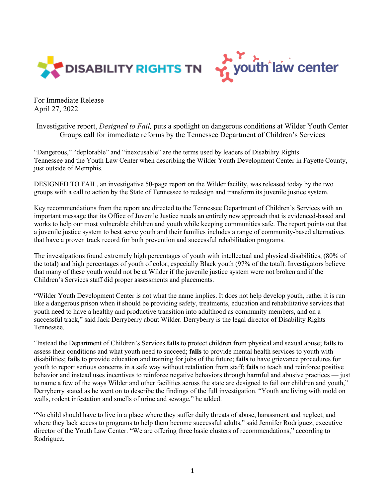



For Immediate Release April 27, 2022

Investigative report, *Designed to Fail,* puts a spotlight on dangerous conditions at Wilder Youth Center Groups call for immediate reforms by the Tennessee Department of Children's Services

"Dangerous," "deplorable" and "inexcusable" are the terms used by leaders of Disability Rights Tennessee and the Youth Law Center when describing the Wilder Youth Development Center in Fayette County, just outside of Memphis.

DESIGNED TO FAIL, an investigative 50-page report on the Wilder facility, was released today by the two groups with a call to action by the State of Tennessee to redesign and transform its juvenile justice system.

Key recommendations from the report are directed to the Tennessee Department of Children's Services with an important message that its Office of Juvenile Justice needs an entirely new approach that is evidenced-based and works to help our most vulnerable children and youth while keeping communities safe. The report points out that a juvenile justice system to best serve youth and their families includes a range of community-based alternatives that have a proven track record for both prevention and successful rehabilitation programs.

The investigations found extremely high percentages of youth with intellectual and physical disabilities, (80% of the total) and high percentages of youth of color, especially Black youth (97% of the total). Investigators believe that many of these youth would not be at Wilder if the juvenile justice system were not broken and if the Children's Services staff did proper assessments and placements.

"Wilder Youth Development Center is not what the name implies. It does not help develop youth, rather it is run like a dangerous prison when it should be providing safety, treatments, education and rehabilitative services that youth need to have a healthy and productive transition into adulthood as community members, and on a successful track," said Jack Derryberry about Wilder. Derryberry is the legal director of Disability Rights Tennessee.

"Instead the Department of Children's Services **fails** to protect children from physical and sexual abuse; **fails** to assess their conditions and what youth need to succeed; **fails** to provide mental health services to youth with disabilities; **fails** to provide education and training for jobs of the future; **fails** to have grievance procedures for youth to report serious concerns in a safe way without retaliation from staff; **fails** to teach and reinforce positive behavior and instead uses incentives to reinforce negative behaviors through harmful and abusive practices — just to name a few of the ways Wilder and other facilities across the state are designed to fail our children and youth," Derryberry stated as he went on to describe the findings of the full investigation. "Youth are living with mold on walls, rodent infestation and smells of urine and sewage," he added.

"No child should have to live in a place where they suffer daily threats of abuse, harassment and neglect, and where they lack access to programs to help them become successful adults," said Jennifer Rodriguez, executive director of the Youth Law Center. "We are offering three basic clusters of recommendations," according to Rodriguez.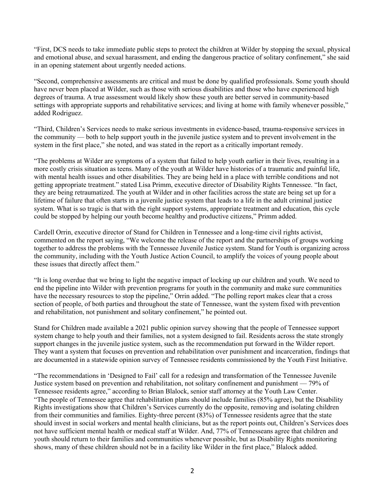"First, DCS needs to take immediate public steps to protect the children at Wilder by stopping the sexual, physical and emotional abuse, and sexual harassment, and ending the dangerous practice of solitary confinement," she said in an opening statement about urgently needed actions.

"Second, comprehensive assessments are critical and must be done by qualified professionals. Some youth should have never been placed at Wilder, such as those with serious disabilities and those who have experienced high degrees of trauma. A true assessment would likely show these youth are better served in community-based settings with appropriate supports and rehabilitative services; and living at home with family whenever possible," added Rodriguez.

"Third, Children's Services needs to make serious investments in evidence-based, trauma-responsive services in the community — both to help support youth in the juvenile justice system and to prevent involvement in the system in the first place," she noted, and was stated in the report as a critically important remedy.

"The problems at Wilder are symptoms of a system that failed to help youth earlier in their lives, resulting in a more costly crisis situation as teens. Many of the youth at Wilder have histories of a traumatic and painful life, with mental health issues and other disabilities. They are being held in a place with terrible conditions and not getting appropriate treatment." stated Lisa Primm, executive director of Disability Rights Tennessee. "In fact, they are being retraumatized. The youth at Wilder and in other facilities across the state are being set up for a lifetime of failure that often starts in a juvenile justice system that leads to a life in the adult criminal justice system. What is so tragic is that with the right support systems, appropriate treatment and education, this cycle could be stopped by helping our youth become healthy and productive citizens," Primm added.

Cardell Orrin, executive director of Stand for Children in Tennessee and a long-time civil rights activist, commented on the report saying, "We welcome the release of the report and the partnerships of groups working together to address the problems with the Tennessee Juvenile Justice system. Stand for Youth is organizing across the community, including with the Youth Justice Action Council, to amplify the voices of young people about these issues that directly affect them."

"It is long overdue that we bring to light the negative impact of locking up our children and youth. We need to end the pipeline into Wilder with prevention programs for youth in the community and make sure communities have the necessary resources to stop the pipeline," Orrin added. "The polling report makes clear that a cross section of people, of both parties and throughout the state of Tennessee, want the system fixed with prevention and rehabilitation, not punishment and solitary confinement," he pointed out.

Stand for Children made available a 2021 public opinion survey showing that the people of Tennessee support system change to help youth and their families, not a system designed to fail. Residents across the state strongly support changes in the juvenile justice system, such as the recommendation put forward in the Wilder report. They want a system that focuses on prevention and rehabilitation over punishment and incarceration, findings that are documented in a statewide opinion survey of Tennessee residents commissioned by the Youth First Initiative.

"The recommendations in 'Designed to Fail' call for a redesign and transformation of the Tennessee Juvenile Justice system based on prevention and rehabilitation, not solitary confinement and punishment — 79% of Tennessee residents agree," according to Brian Blalock, senior staff attorney at the Youth Law Center. "The people of Tennessee agree that rehabilitation plans should include families (85% agree), but the Disability Rights investigations show that Children's Services currently do the opposite, removing and isolating children from their communities and families. Eighty-three percent (83%) of Tennessee residents agree that the state should invest in social workers and mental health clinicians, but as the report points out, Children's Services does not have sufficient mental health or medical staff at Wilder. And, 77% of Tennesseans agree that children and youth should return to their families and communities whenever possible, but as Disability Rights monitoring shows, many of these children should not be in a facility like Wilder in the first place," Blalock added.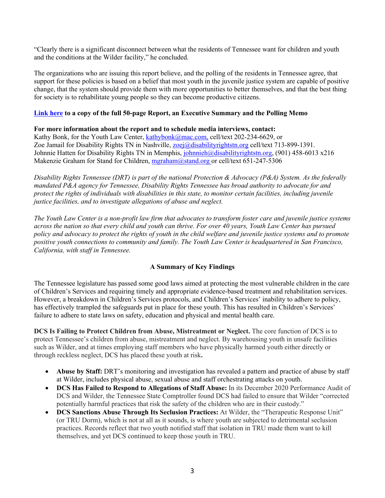"Clearly there is a significant disconnect between what the residents of Tennessee want for children and youth and the conditions at the Wilder facility," he concluded.

The organizations who are issuing this report believe, and the polling of the residents in Tennessee agree, that support for these policies is based on a belief that most youth in the juvenile justice system are capable of positive change, that the system should provide them with more opportunities to better themselves, and that the best thing for society is to rehabilitate young people so they can become productive citizens.

## **Link here to a copy of the full 50-page Report, an Executive Summary and the Polling Memo**

## **For more information about the report and to schedule media interviews, contact:**

Kathy Bonk, for the Youth Law Center, kathybonk@mac.com, cell/text 202-234-6629, or Zoe Jamail for Disability Rights TN in Nashville, zoej@disabilityrightstn.org cell/text 713-899-1391. Johnnie Hatten for Disability Rights TN in Memphis, johnnieh@disabilityrightstn.org, (901) 458-6013 x216 Makenzie Graham for Stand for Children, mgraham@stand.org or cell/text 651-247-5306

*Disability Rights Tennessee (DRT) is part of the national Protection & Advocacy (P&A) System. As the federally mandated P&A agency for Tennessee, Disability Rights Tennessee has broad authority to advocate for and protect the rights of individuals with disabilities in this state, to monitor certain facilities, including juvenile justice facilities, and to investigate allegations of abuse and neglect.*

*The Youth Law Center is a non-profit law firm that advocates to transform foster care and juvenile justice systems across the nation so that every child and youth can thrive. For over 40 years, Youth Law Center has pursued policy and advocacy to protect the rights of youth in the child welfare and juvenile justice systems and to promote positive youth connections to community and family. The Youth Law Center is headquartered in San Francisco, California, with staff in Tennessee.*

## **A Summary of Key Findings**

The Tennessee legislature has passed some good laws aimed at protecting the most vulnerable children in the care of Children's Services and requiring timely and appropriate evidence-based treatment and rehabilitation services. However, a breakdown in Children's Services protocols, and Children's Services' inability to adhere to policy, has effectively trampled the safeguards put in place for these youth. This has resulted in Children's Services' failure to adhere to state laws on safety, education and physical and mental health care.

**DCS Is Failing to Protect Children from Abuse, Mistreatment or Neglect.** The core function of DCS is to protect Tennessee's children from abuse, mistreatment and neglect. By warehousing youth in unsafe facilities such as Wilder, and at times employing staff members who have physically harmed youth either directly or through reckless neglect, DCS has placed these youth at risk**.** 

- **Abuse by Staff:** DRT's monitoring and investigation has revealed a pattern and practice of abuse by staff at Wilder, includes physical abuse, sexual abuse and staff orchestrating attacks on youth.
- **DCS Has Failed to Respond to Allegations of Staff Abuse:** In its December 2020 Performance Audit of DCS and Wilder, the Tennessee State Comptroller found DCS had failed to ensure that Wilder "corrected potentially harmful practices that risk the safety of the children who are in their custody."
- **DCS Sanctions Abuse Through Its Seclusion Practices:** At Wilder, the "Therapeutic Response Unit" (or TRU Dorm), which is not at all as it sounds, is where youth are subjected to detrimental seclusion practices. Records reflect that two youth notified staff that isolation in TRU made them want to kill themselves, and yet DCS continued to keep those youth in TRU.